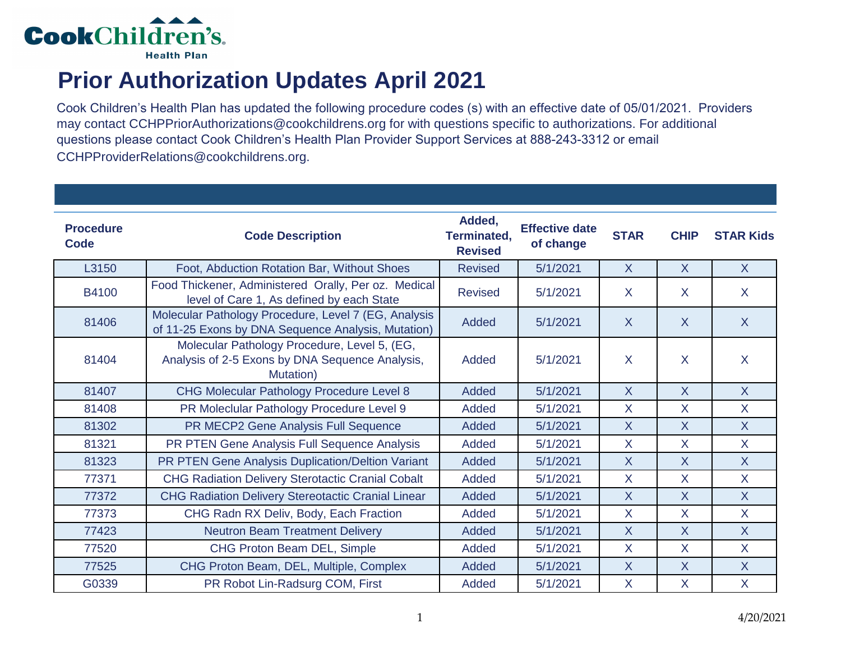

## **Prior Authorization Updates April 2021**

Cook Children's Health Plan has updated the following procedure codes (s) with an effective date of 05/01/2021. Providers may contact CCHPPriorAuthorizations@cookchildrens.org for with questions specific to authorizations. For additional questions please contact Cook Children's Health Plan Provider Support Services at 888-243-3312 or email CCHPProviderRelations@cookchildrens.org.

| <b>Procedure</b><br>Code | <b>Code Description</b>                                                                                      | Added,<br>Terminated,<br><b>Revised</b> | <b>Effective date</b><br>of change | <b>STAR</b>    | <b>CHIP</b>    | <b>STAR Kids</b> |
|--------------------------|--------------------------------------------------------------------------------------------------------------|-----------------------------------------|------------------------------------|----------------|----------------|------------------|
| L3150                    | Foot, Abduction Rotation Bar, Without Shoes                                                                  | <b>Revised</b>                          | 5/1/2021                           | $\mathsf{X}$   | $\mathsf{X}$   | $\mathsf{X}$     |
| B4100                    | Food Thickener, Administered Orally, Per oz. Medical<br>level of Care 1, As defined by each State            | <b>Revised</b>                          | 5/1/2021                           | $\mathsf{X}$   | $\mathsf{X}$   | $\mathsf{X}$     |
| 81406                    | Molecular Pathology Procedure, Level 7 (EG, Analysis<br>of 11-25 Exons by DNA Sequence Analysis, Mutation)   | Added                                   | 5/1/2021                           | $\overline{X}$ | $\overline{X}$ | $\overline{X}$   |
| 81404                    | Molecular Pathology Procedure, Level 5, (EG,<br>Analysis of 2-5 Exons by DNA Sequence Analysis,<br>Mutation) | Added                                   | 5/1/2021                           | $\sf X$        | $\mathsf{X}$   | $\sf X$          |
| 81407                    | CHG Molecular Pathology Procedure Level 8                                                                    | Added                                   | 5/1/2021                           | $\overline{X}$ | $\sf X$        | $\overline{X}$   |
| 81408                    | PR Moleclular Pathology Procedure Level 9                                                                    | Added                                   | 5/1/2021                           | $\mathsf{X}$   | X              | $\mathsf{X}$     |
| 81302                    | PR MECP2 Gene Analysis Full Sequence                                                                         | Added                                   | 5/1/2021                           | $\overline{X}$ | $\overline{X}$ | $\overline{X}$   |
| 81321                    | PR PTEN Gene Analysis Full Sequence Analysis                                                                 | Added                                   | 5/1/2021                           | $\mathsf{X}$   | X              | $\mathsf{X}$     |
| 81323                    | PR PTEN Gene Analysis Duplication/Deltion Variant                                                            | Added                                   | 5/1/2021                           | $\overline{X}$ | $\overline{X}$ | $\overline{X}$   |
| 77371                    | <b>CHG Radiation Delivery Sterotactic Cranial Cobalt</b>                                                     | Added                                   | 5/1/2021                           | $\mathsf{X}$   | $\mathsf{X}$   | $\mathsf{X}$     |
| 77372                    | <b>CHG Radiation Delivery Stereotactic Cranial Linear</b>                                                    | Added                                   | 5/1/2021                           | $\mathsf{X}$   | $\mathsf{X}$   | $\overline{X}$   |
| 77373                    | CHG Radn RX Deliv, Body, Each Fraction                                                                       | Added                                   | 5/1/2021                           | $\mathsf{X}$   | $\mathsf{X}$   | $\overline{X}$   |
| 77423                    | <b>Neutron Beam Treatment Delivery</b>                                                                       | Added                                   | 5/1/2021                           | $\overline{X}$ | $\mathsf{X}$   | $\overline{X}$   |
| 77520                    | CHG Proton Beam DEL, Simple                                                                                  | Added                                   | 5/1/2021                           | $\mathsf{X}$   | X              | X                |
| 77525                    | CHG Proton Beam, DEL, Multiple, Complex                                                                      | Added                                   | 5/1/2021                           | $\overline{X}$ | $\overline{X}$ | $\overline{X}$   |
| G0339                    | PR Robot Lin-Radsurg COM, First                                                                              | Added                                   | 5/1/2021                           | $\mathsf{X}$   | $\mathsf{X}$   | $\mathsf{X}$     |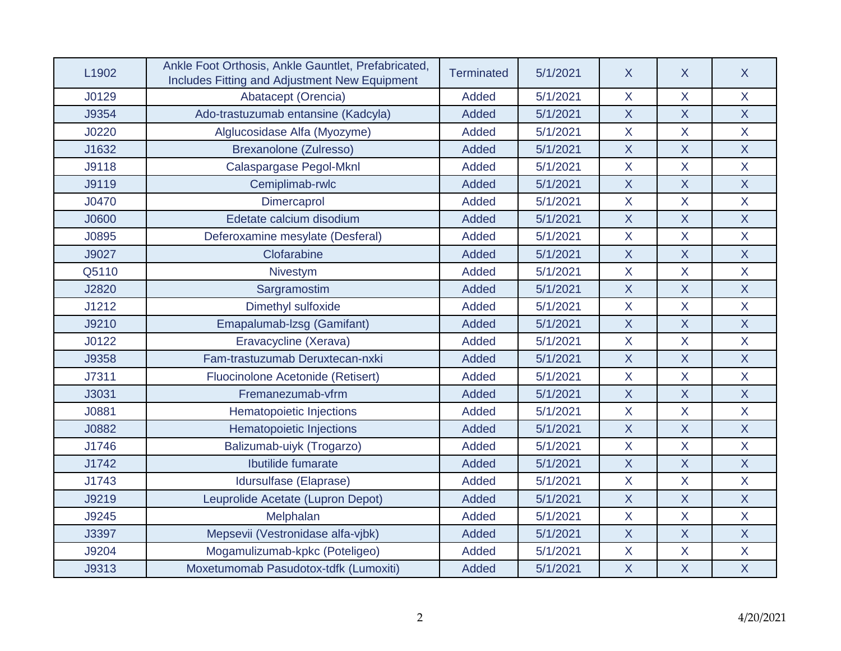| L <sub>1902</sub> | Ankle Foot Orthosis, Ankle Gauntlet, Prefabricated,<br>Includes Fitting and Adjustment New Equipment | Terminated   | 5/1/2021 | $\sf X$      | $\sf X$                   | $\sf X$          |
|-------------------|------------------------------------------------------------------------------------------------------|--------------|----------|--------------|---------------------------|------------------|
| J0129             | Abatacept (Orencia)                                                                                  | Added        | 5/1/2021 | X            | X                         | X                |
| J9354             | Ado-trastuzumab entansine (Kadcyla)                                                                  | Added        | 5/1/2021 | $\sf X$      | $\mathsf{X}$              | $\sf X$          |
| J0220             | Alglucosidase Alfa (Myozyme)                                                                         | <b>Added</b> | 5/1/2021 | $\mathsf{X}$ | $\overline{\mathsf{X}}$   | X                |
| J1632             | Brexanolone (Zulresso)                                                                               | <b>Added</b> | 5/1/2021 | $\sf X$      | $\mathsf{X}$              | $\sf X$          |
| J9118             | Calaspargase Pegol-Mknl                                                                              | <b>Added</b> | 5/1/2021 | $\mathsf{X}$ | $\mathsf{X}$              | X                |
| J9119             | Cemiplimab-rwlc                                                                                      | <b>Added</b> | 5/1/2021 | $\sf X$      | $\mathsf{X}$              | $\sf X$          |
| J0470             | Dimercaprol                                                                                          | Added        | 5/1/2021 | X            | $\sf X$                   | X                |
| J0600             | Edetate calcium disodium                                                                             | Added        | 5/1/2021 | $\mathsf{X}$ | $\mathsf{X}$              | $\overline{X}$   |
| J0895             | Deferoxamine mesylate (Desferal)                                                                     | Added        | 5/1/2021 | X            | $\overline{X}$            | $\overline{X}$   |
| J9027             | Clofarabine                                                                                          | <b>Added</b> | 5/1/2021 | $\sf X$      | $\mathsf{X}$              | $\mathsf X$      |
| Q5110             | Nivestym                                                                                             | Added        | 5/1/2021 | $\mathsf{X}$ | $\overline{\mathsf{X}}$   | X                |
| J2820             | Sargramostim                                                                                         | <b>Added</b> | 5/1/2021 | $\sf X$      | $\mathsf{X}$              | $\sf X$          |
| J1212             | Dimethyl sulfoxide                                                                                   | <b>Added</b> | 5/1/2021 | X            | $\sf X$                   | $\sf X$          |
| J9210             | Emapalumab-Izsg (Gamifant)                                                                           | Added        | 5/1/2021 | $\sf X$      | $\mathsf{X}$              | $\sf X$          |
| J0122             | Eravacycline (Xerava)                                                                                | Added        | 5/1/2021 | X            | $\sf X$                   | X                |
| J9358             | Fam-trastuzumab Deruxtecan-nxki                                                                      | Added        | 5/1/2021 | $\mathsf{X}$ | $\mathsf{X}$              | $\overline{X}$   |
| J7311             | Fluocinolone Acetonide (Retisert)                                                                    | <b>Added</b> | 5/1/2021 | X            | $\overline{X}$            | X                |
| J3031             | Fremanezumab-vfrm                                                                                    | <b>Added</b> | 5/1/2021 | $\sf X$      | $\boldsymbol{\mathsf{X}}$ | $\mathsf X$      |
| J0881             | Hematopoietic Injections                                                                             | <b>Added</b> | 5/1/2021 | X            | $\overline{\mathsf{X}}$   | X                |
| J0882             | <b>Hematopoietic Injections</b>                                                                      | Added        | 5/1/2021 | $\sf X$      | $\mathsf{X}$              | $\sf X$          |
| J1746             | Balizumab-uiyk (Trogarzo)                                                                            | <b>Added</b> | 5/1/2021 | X            | $\sf X$                   | $\sf X$          |
| J1742             | Ibutilide fumarate                                                                                   | Added        | 5/1/2021 | $\sf X$      | $\mathsf{X}$              | $\sf X$          |
| J1743             | Idursulfase (Elaprase)                                                                               | Added        | 5/1/2021 | X            | $\overline{X}$            | X                |
| J9219             | Leuprolide Acetate (Lupron Depot)                                                                    | Added        | 5/1/2021 | $\sf X$      | $\mathsf{X}$              | $\sf X$          |
| J9245             | Melphalan                                                                                            | Added        | 5/1/2021 | X            | $\overline{X}$            | X                |
| J3397             | Mepsevii (Vestronidase alfa-vjbk)                                                                    | <b>Added</b> | 5/1/2021 | $\sf X$      | $\mathsf{X}$              | $\overline{X}$   |
| J9204             | Mogamulizumab-kpkc (Poteligeo)                                                                       | <b>Added</b> | 5/1/2021 | X            | $\sf X$                   | X                |
| J9313             | Moxetumomab Pasudotox-tdfk (Lumoxiti)                                                                | Added        | 5/1/2021 | $\sf X$      | $\mathsf{X}$              | $\boldsymbol{X}$ |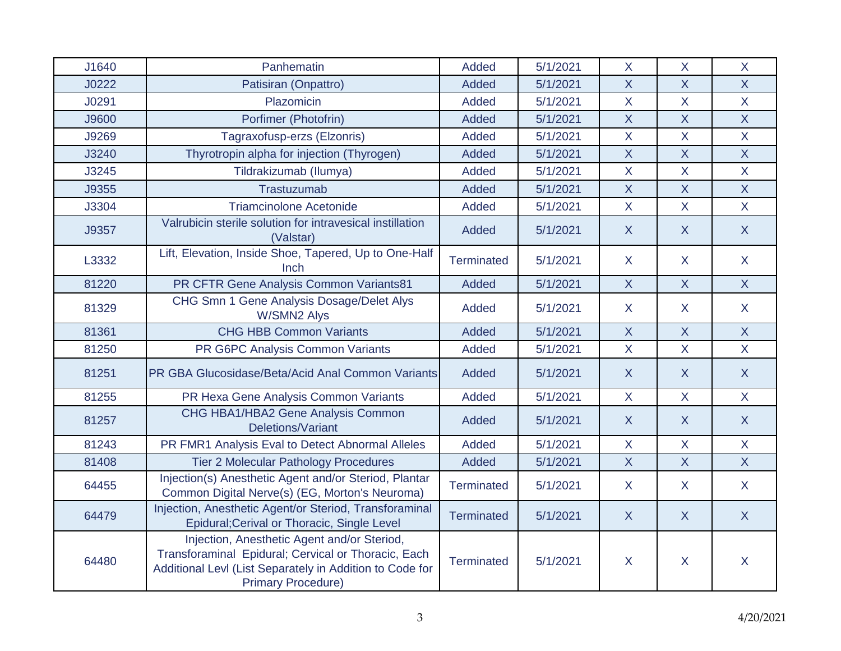| J1640 | Panhematin                                                                                                                                                                                  | Added             | 5/1/2021 | $\mathsf{X}$            | $\mathsf{X}$   | X                       |
|-------|---------------------------------------------------------------------------------------------------------------------------------------------------------------------------------------------|-------------------|----------|-------------------------|----------------|-------------------------|
| J0222 | Patisiran (Onpattro)                                                                                                                                                                        | <b>Added</b>      | 5/1/2021 | $\overline{\mathsf{X}}$ | $\overline{X}$ | $\overline{X}$          |
| J0291 | Plazomicin                                                                                                                                                                                  | <b>Added</b>      | 5/1/2021 | X                       | X              | $\mathsf{X}$            |
| J9600 | Porfimer (Photofrin)                                                                                                                                                                        | <b>Added</b>      | 5/1/2021 | $\overline{X}$          | $\overline{X}$ | $\mathsf{X}$            |
| J9269 | Tagraxofusp-erzs (Elzonris)                                                                                                                                                                 | <b>Added</b>      | 5/1/2021 | $\mathsf{X}$            | X              | $\mathsf{X}$            |
| J3240 | Thyrotropin alpha for injection (Thyrogen)                                                                                                                                                  | <b>Added</b>      | 5/1/2021 | $\overline{X}$          | $\overline{X}$ | $\overline{X}$          |
| J3245 | Tildrakizumab (Ilumya)                                                                                                                                                                      | <b>Added</b>      | 5/1/2021 | $\mathsf{X}$            | $\overline{X}$ | $\mathsf{X}$            |
| J9355 | Trastuzumab                                                                                                                                                                                 | <b>Added</b>      | 5/1/2021 | $\mathsf{X}$            | $\overline{X}$ | $\mathsf X$             |
| J3304 | <b>Triamcinolone Acetonide</b>                                                                                                                                                              | Added             | 5/1/2021 | $\mathsf{X}$            | $\overline{X}$ | $\overline{\mathsf{X}}$ |
| J9357 | Valrubicin sterile solution for intravesical instillation<br>(Valstar)                                                                                                                      | <b>Added</b>      | 5/1/2021 | $\mathsf{X}$            | $\mathsf{X}$   | $\mathsf{X}$            |
| L3332 | Lift, Elevation, Inside Shoe, Tapered, Up to One-Half<br>Inch                                                                                                                               | <b>Terminated</b> | 5/1/2021 | X                       | X              | $\mathsf{X}$            |
| 81220 | PR CFTR Gene Analysis Common Variants81                                                                                                                                                     | <b>Added</b>      | 5/1/2021 | $\overline{X}$          | $\overline{X}$ | $\mathsf{X}$            |
| 81329 | CHG Smn 1 Gene Analysis Dosage/Delet Alys<br><b>W/SMN2 Alys</b>                                                                                                                             | Added             | 5/1/2021 | $\mathsf{X}$            | X              | $\mathsf{X}$            |
| 81361 | <b>CHG HBB Common Variants</b>                                                                                                                                                              | <b>Added</b>      | 5/1/2021 | $\sf X$                 | $\mathsf{X}$   | $\mathsf{X}$            |
| 81250 | PR G6PC Analysis Common Variants                                                                                                                                                            | Added             | 5/1/2021 | $\mathsf{X}$            | $\overline{X}$ | $\mathsf{X}$            |
| 81251 | PR GBA Glucosidase/Beta/Acid Anal Common Variants                                                                                                                                           | <b>Added</b>      | 5/1/2021 | $\mathsf{X}$            | $\mathsf{X}$   | $\mathsf{X}$            |
| 81255 | PR Hexa Gene Analysis Common Variants                                                                                                                                                       | Added             | 5/1/2021 | $\mathsf{X}$            | $\mathsf{X}$   | $\mathsf{X}$            |
| 81257 | CHG HBA1/HBA2 Gene Analysis Common<br>Deletions/Variant                                                                                                                                     | Added             | 5/1/2021 | $\mathsf{X}$            | $\mathsf{X}$   | $\mathsf{X}$            |
| 81243 | PR FMR1 Analysis Eval to Detect Abnormal Alleles                                                                                                                                            | <b>Added</b>      | 5/1/2021 | $\mathsf{X}$            | X              | $\mathsf{X}$            |
| 81408 | <b>Tier 2 Molecular Pathology Procedures</b>                                                                                                                                                | Added             | 5/1/2021 | $\mathsf{X}$            | $\mathsf{X}$   | $\mathsf{X}$            |
| 64455 | Injection(s) Anesthetic Agent and/or Steriod, Plantar<br>Common Digital Nerve(s) (EG, Morton's Neuroma)                                                                                     | <b>Terminated</b> | 5/1/2021 | $\mathsf{X}$            | X              | $\mathsf{X}$            |
| 64479 | Injection, Anesthetic Agent/or Steriod, Transforaminal<br>Epidural; Cerival or Thoracic, Single Level                                                                                       | <b>Terminated</b> | 5/1/2021 | $\mathsf{X}$            | $\mathsf{X}$   | $\mathsf{X}$            |
| 64480 | Injection, Anesthetic Agent and/or Steriod,<br>Transforaminal Epidural; Cervical or Thoracic, Each<br>Additional LevI (List Separately in Addition to Code for<br><b>Primary Procedure)</b> | Terminated        | 5/1/2021 | $\mathsf{X}$            | $\pmb{\times}$ | $\pmb{\mathsf{X}}$      |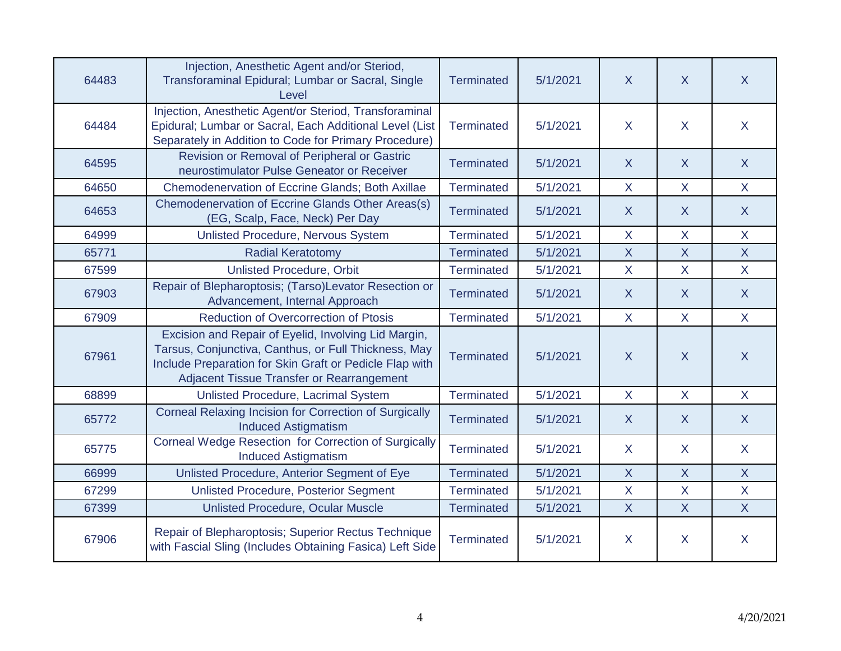| 64483 | Injection, Anesthetic Agent and/or Steriod,<br>Transforaminal Epidural; Lumbar or Sacral, Single<br>Level                                                                                                            | <b>Terminated</b> | 5/1/2021 | $\mathsf{X}$   | $\sf X$        | $\sf X$                 |
|-------|----------------------------------------------------------------------------------------------------------------------------------------------------------------------------------------------------------------------|-------------------|----------|----------------|----------------|-------------------------|
| 64484 | Injection, Anesthetic Agent/or Steriod, Transforaminal<br>Epidural; Lumbar or Sacral, Each Additional Level (List<br>Separately in Addition to Code for Primary Procedure)                                           | <b>Terminated</b> | 5/1/2021 | $\sf X$        | X              | $\mathsf{X}$            |
| 64595 | Revision or Removal of Peripheral or Gastric<br>neurostimulator Pulse Geneator or Receiver                                                                                                                           | <b>Terminated</b> | 5/1/2021 | $\mathsf{X}$   | $\mathsf{X}$   | $\mathsf{X}$            |
| 64650 | <b>Chemodenervation of Eccrine Glands; Both Axillae</b>                                                                                                                                                              | <b>Terminated</b> | 5/1/2021 | $\sf X$        | $\mathsf{X}$   | $\mathsf{X}$            |
| 64653 | Chemodenervation of Eccrine Glands Other Areas(s)<br>(EG, Scalp, Face, Neck) Per Day                                                                                                                                 | <b>Terminated</b> | 5/1/2021 | $\sf X$        | $\mathsf{X}$   | $\mathsf{X}$            |
| 64999 | Unlisted Procedure, Nervous System                                                                                                                                                                                   | <b>Terminated</b> | 5/1/2021 | $\overline{X}$ | $\mathsf{X}$   | $\mathsf{X}$            |
| 65771 | <b>Radial Keratotomy</b>                                                                                                                                                                                             | <b>Terminated</b> | 5/1/2021 | $\mathsf{X}$   | $\overline{X}$ | $\mathsf{X}$            |
| 67599 | <b>Unlisted Procedure, Orbit</b>                                                                                                                                                                                     | Terminated        | 5/1/2021 | $\mathsf{X}$   | $\mathsf{X}$   | $\mathsf{X}$            |
| 67903 | Repair of Blepharoptosis; (Tarso)Levator Resection or<br>Advancement, Internal Approach                                                                                                                              | <b>Terminated</b> | 5/1/2021 | $\sf X$        | $\mathsf{X}$   | $\mathsf{X}$            |
| 67909 | <b>Reduction of Overcorrection of Ptosis</b>                                                                                                                                                                         | Terminated        | 5/1/2021 | $\mathsf{X}$   | $\mathsf{X}$   | $\mathsf{X}$            |
| 67961 | Excision and Repair of Eyelid, Involving Lid Margin,<br>Tarsus, Conjunctiva, Canthus, or Full Thickness, May<br>Include Preparation for Skin Graft or Pedicle Flap with<br>Adjacent Tissue Transfer or Rearrangement | <b>Terminated</b> | 5/1/2021 | $\mathsf{X}$   | $\mathsf{X}$   | $\overline{\mathsf{X}}$ |
| 68899 | Unlisted Procedure, Lacrimal System                                                                                                                                                                                  | <b>Terminated</b> | 5/1/2021 | $\mathsf{X}$   | $\mathsf{X}$   | $\mathsf{X}$            |
| 65772 | Corneal Relaxing Incision for Correction of Surgically<br><b>Induced Astigmatism</b>                                                                                                                                 | <b>Terminated</b> | 5/1/2021 | $\mathsf{X}$   | X              | $\overline{X}$          |
| 65775 | Corneal Wedge Resection for Correction of Surgically<br><b>Induced Astigmatism</b>                                                                                                                                   | <b>Terminated</b> | 5/1/2021 | $\sf X$        | $\mathsf{X}$   | $\mathsf{X}$            |
| 66999 | Unlisted Procedure, Anterior Segment of Eye                                                                                                                                                                          | <b>Terminated</b> | 5/1/2021 | $\mathsf{X}$   | $\mathsf{X}$   | $\mathsf{X}$            |
| 67299 | <b>Unlisted Procedure, Posterior Segment</b>                                                                                                                                                                         | <b>Terminated</b> | 5/1/2021 | $\sf X$        | X              | $\mathsf{X}$            |
| 67399 | Unlisted Procedure, Ocular Muscle                                                                                                                                                                                    | <b>Terminated</b> | 5/1/2021 | $\mathsf{X}$   | $\overline{X}$ | $\overline{X}$          |
| 67906 | Repair of Blepharoptosis; Superior Rectus Technique<br>with Fascial Sling (Includes Obtaining Fasica) Left Side                                                                                                      | <b>Terminated</b> | 5/1/2021 | $\sf X$        | X              | $\mathsf{X}$            |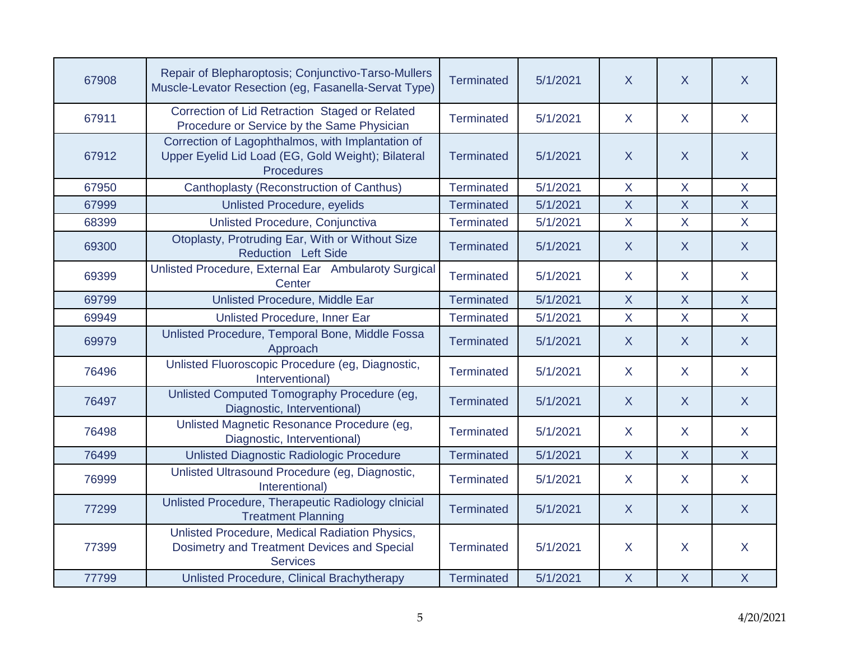| 67908 | Repair of Blepharoptosis; Conjunctivo-Tarso-Mullers<br>Muscle-Levator Resection (eg, Fasanella-Servat Type)                  | <b>Terminated</b> | 5/1/2021 | $\mathsf{X}$     | X              | X              |
|-------|------------------------------------------------------------------------------------------------------------------------------|-------------------|----------|------------------|----------------|----------------|
| 67911 | Correction of Lid Retraction Staged or Related<br>Procedure or Service by the Same Physician                                 | <b>Terminated</b> | 5/1/2021 | $\sf X$          | $\mathsf{X}$   | $\mathsf{X}$   |
| 67912 | Correction of Lagophthalmos, with Implantation of<br>Upper Eyelid Lid Load (EG, Gold Weight); Bilateral<br><b>Procedures</b> | <b>Terminated</b> | 5/1/2021 | $\boldsymbol{X}$ | $\mathsf{X}$   | $\mathsf{X}$   |
| 67950 | Canthoplasty (Reconstruction of Canthus)                                                                                     | <b>Terminated</b> | 5/1/2021 | $\mathsf{X}$     | $\mathsf{X}$   | $\mathsf{X}$   |
| 67999 | <b>Unlisted Procedure, eyelids</b>                                                                                           | <b>Terminated</b> | 5/1/2021 | $\sf X$          | $\overline{X}$ | $\overline{X}$ |
| 68399 | Unlisted Procedure, Conjunctiva                                                                                              | <b>Terminated</b> | 5/1/2021 | $\mathsf{X}$     | X              | $\mathsf{X}$   |
| 69300 | Otoplasty, Protruding Ear, With or Without Size<br><b>Reduction Left Side</b>                                                | <b>Terminated</b> | 5/1/2021 | $\sf X$          | $\mathsf{X}$   | $\mathsf{X}$   |
| 69399 | Unlisted Procedure, External Ear Ambularoty Surgical<br>Center                                                               | <b>Terminated</b> | 5/1/2021 | $\sf X$          | X              | $\mathsf{X}$   |
| 69799 | Unlisted Procedure, Middle Ear                                                                                               | <b>Terminated</b> | 5/1/2021 | $\mathsf{X}$     | X              | $\mathsf{X}$   |
| 69949 | Unlisted Procedure, Inner Ear                                                                                                | <b>Terminated</b> | 5/1/2021 | $\mathsf{X}$     | $\overline{X}$ | $\mathsf{X}$   |
| 69979 | Unlisted Procedure, Temporal Bone, Middle Fossa<br>Approach                                                                  | <b>Terminated</b> | 5/1/2021 | $\mathsf{X}$     | $\mathsf{X}$   | $\mathsf{X}$   |
| 76496 | Unlisted Fluoroscopic Procedure (eg, Diagnostic,<br>Interventional)                                                          | <b>Terminated</b> | 5/1/2021 | $\sf X$          | X              | $\mathsf{X}$   |
| 76497 | Unlisted Computed Tomography Procedure (eg,<br>Diagnostic, Interventional)                                                   | <b>Terminated</b> | 5/1/2021 | $\sf X$          | X              | $\mathsf{X}$   |
| 76498 | Unlisted Magnetic Resonance Procedure (eg,<br>Diagnostic, Interventional)                                                    | <b>Terminated</b> | 5/1/2021 | $\mathsf{X}$     | X              | $\mathsf{X}$   |
| 76499 | Unlisted Diagnostic Radiologic Procedure                                                                                     | <b>Terminated</b> | 5/1/2021 | $\mathsf{X}$     | $\mathsf{X}$   | $\mathsf{X}$   |
| 76999 | Unlisted Ultrasound Procedure (eg, Diagnostic,<br>Interentional)                                                             | <b>Terminated</b> | 5/1/2021 | $\sf X$          | $\mathsf{X}$   | $\sf X$        |
| 77299 | Unlisted Procedure, Therapeutic Radiology clnicial<br><b>Treatment Planning</b>                                              | <b>Terminated</b> | 5/1/2021 | $\sf X$          | X              | $\mathsf{X}$   |
| 77399 | Unlisted Procedure, Medical Radiation Physics,<br>Dosimetry and Treatment Devices and Special<br><b>Services</b>             | Terminated        | 5/1/2021 | $\boldsymbol{X}$ | X              | $\mathsf{X}$   |
| 77799 | Unlisted Procedure, Clinical Brachytherapy                                                                                   | <b>Terminated</b> | 5/1/2021 | $\mathsf{X}$     | $\mathsf{X}$   | $\mathsf{X}$   |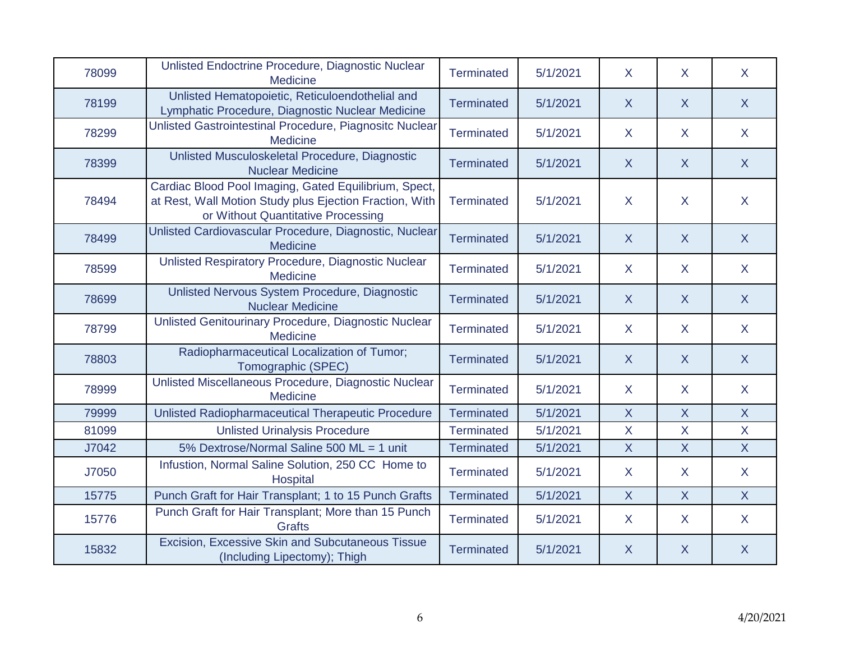| 78099 | Unlisted Endoctrine Procedure, Diagnostic Nuclear<br><b>Medicine</b>                                                                                   | <b>Terminated</b> | 5/1/2021 | $\sf X$                 | X.             | $\sf X$        |
|-------|--------------------------------------------------------------------------------------------------------------------------------------------------------|-------------------|----------|-------------------------|----------------|----------------|
| 78199 | Unlisted Hematopoietic, Reticuloendothelial and<br>Lymphatic Procedure, Diagnostic Nuclear Medicine                                                    | <b>Terminated</b> | 5/1/2021 | X                       | $\mathsf{X}$   | $\mathsf{X}$   |
| 78299 | Unlisted Gastrointestinal Procedure, Piagnositc Nuclear<br><b>Medicine</b>                                                                             | Terminated        | 5/1/2021 | $\sf X$                 | X.             | $\mathsf{X}$   |
| 78399 | Unlisted Musculoskeletal Procedure, Diagnostic<br><b>Nuclear Medicine</b>                                                                              | <b>Terminated</b> | 5/1/2021 | X                       | X              | $\mathsf{X}$   |
| 78494 | Cardiac Blood Pool Imaging, Gated Equilibrium, Spect,<br>at Rest, Wall Motion Study plus Ejection Fraction, With<br>or Without Quantitative Processing | <b>Terminated</b> | 5/1/2021 | $\sf X$                 | $\mathsf{X}$   | $\mathsf{X}$   |
| 78499 | Unlisted Cardiovascular Procedure, Diagnostic, Nuclear<br><b>Medicine</b>                                                                              | <b>Terminated</b> | 5/1/2021 | $\mathsf{X}$            | $\mathsf{X}$   | $\mathsf{X}$   |
| 78599 | Unlisted Respiratory Procedure, Diagnostic Nuclear<br>Medicine                                                                                         | <b>Terminated</b> | 5/1/2021 | $\sf X$                 | $\mathsf{X}$   | $\mathsf{X}$   |
| 78699 | Unlisted Nervous System Procedure, Diagnostic<br><b>Nuclear Medicine</b>                                                                               | <b>Terminated</b> | 5/1/2021 | $\sf X$                 | X              | $\mathsf{X}$   |
| 78799 | Unlisted Genitourinary Procedure, Diagnostic Nuclear<br><b>Medicine</b>                                                                                | <b>Terminated</b> | 5/1/2021 | $\mathsf{X}$            | X.             | $\sf X$        |
| 78803 | Radiopharmaceutical Localization of Tumor;<br>Tomographic (SPEC)                                                                                       | <b>Terminated</b> | 5/1/2021 | $\sf X$                 | X              | $\mathsf{X}$   |
| 78999 | Unlisted Miscellaneous Procedure, Diagnostic Nuclear<br><b>Medicine</b>                                                                                | <b>Terminated</b> | 5/1/2021 | $\sf X$                 | $\mathsf{X}$   | $\mathsf{X}$   |
| 79999 | Unlisted Radiopharmaceutical Therapeutic Procedure                                                                                                     | <b>Terminated</b> | 5/1/2021 | $\mathsf{X}$            | $\mathsf{X}$   | $\mathsf{X}$   |
| 81099 | <b>Unlisted Urinalysis Procedure</b>                                                                                                                   | <b>Terminated</b> | 5/1/2021 | $\overline{\mathsf{X}}$ | $\overline{X}$ | $\overline{X}$ |
| J7042 | 5% Dextrose/Normal Saline 500 ML = 1 unit                                                                                                              | <b>Terminated</b> | 5/1/2021 | $\mathsf{X}$            | $\mathsf{X}$   | $\mathsf{X}$   |
| J7050 | Infustion, Normal Saline Solution, 250 CC Home to<br>Hospital                                                                                          | <b>Terminated</b> | 5/1/2021 | X                       | X              | $\mathsf{X}$   |
| 15775 | Punch Graft for Hair Transplant; 1 to 15 Punch Grafts                                                                                                  | <b>Terminated</b> | 5/1/2021 | $\mathsf{X}$            | $\mathsf{X}$   | $\mathsf{X}$   |
| 15776 | Punch Graft for Hair Transplant; More than 15 Punch<br><b>Grafts</b>                                                                                   | <b>Terminated</b> | 5/1/2021 | X                       | X.             | $\mathsf{X}$   |
| 15832 | Excision, Excessive Skin and Subcutaneous Tissue<br>(Including Lipectomy); Thigh                                                                       | <b>Terminated</b> | 5/1/2021 | X                       | X              | $\mathsf{X}$   |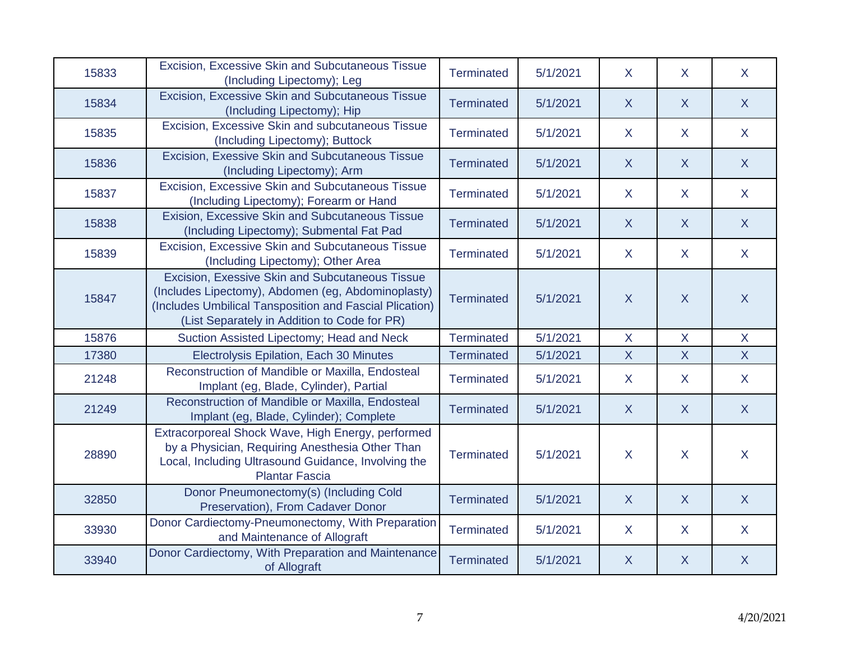| 15833 | Excision, Excessive Skin and Subcutaneous Tissue<br>(Including Lipectomy); Leg                                                                                                                                   | <b>Terminated</b> | 5/1/2021 | $\sf X$        | X                       | X                       |
|-------|------------------------------------------------------------------------------------------------------------------------------------------------------------------------------------------------------------------|-------------------|----------|----------------|-------------------------|-------------------------|
| 15834 | Excision, Excessive Skin and Subcutaneous Tissue<br>(Including Lipectomy); Hip                                                                                                                                   | <b>Terminated</b> | 5/1/2021 | $\overline{X}$ | $\overline{X}$          | $\mathsf{X}$            |
| 15835 | Excision, Excessive Skin and subcutaneous Tissue<br>(Including Lipectomy); Buttock                                                                                                                               | <b>Terminated</b> | 5/1/2021 | $\sf X$        | X                       | $\sf X$                 |
| 15836 | Excision, Exessive Skin and Subcutaneous Tissue<br>(Including Lipectomy); Arm                                                                                                                                    | <b>Terminated</b> | 5/1/2021 | $\mathsf{X}$   | $\mathsf{X}$            | $\mathsf{X}$            |
| 15837 | Excision, Excessive Skin and Subcutaneous Tissue<br>(Including Lipectomy); Forearm or Hand                                                                                                                       | <b>Terminated</b> | 5/1/2021 | $\mathsf{X}$   | $\sf X$                 | $\sf X$                 |
| 15838 | Exision, Excessive Skin and Subcutaneous Tissue<br>(Including Lipectomy); Submental Fat Pad                                                                                                                      | <b>Terminated</b> | 5/1/2021 | $\mathsf{X}$   | $\sf X$                 | $\mathsf{X}$            |
| 15839 | Excision, Excessive Skin and Subcutaneous Tissue<br>(Including Lipectomy); Other Area                                                                                                                            | <b>Terminated</b> | 5/1/2021 | $\mathsf{X}$   | X                       | $\sf X$                 |
| 15847 | Excision, Exessive Skin and Subcutaneous Tissue<br>(Includes Lipectomy), Abdomen (eg, Abdominoplasty)<br>(Includes Umbilical Tansposition and Fascial Plication)<br>(List Separately in Addition to Code for PR) | <b>Terminated</b> | 5/1/2021 | $\mathsf{X}$   | $\overline{X}$          | $\sf X$                 |
| 15876 | Suction Assisted Lipectomy; Head and Neck                                                                                                                                                                        | <b>Terminated</b> | 5/1/2021 | $\sf X$        | X                       | $\mathsf{X}$            |
| 17380 | Electrolysis Epilation, Each 30 Minutes                                                                                                                                                                          | <b>Terminated</b> | 5/1/2021 | $\overline{X}$ | $\overline{\mathsf{X}}$ | $\overline{\mathsf{X}}$ |
| 21248 | Reconstruction of Mandible or Maxilla, Endosteal<br>Implant (eg, Blade, Cylinder), Partial                                                                                                                       | <b>Terminated</b> | 5/1/2021 | $\sf X$        | X                       | X                       |
| 21249 | Reconstruction of Mandible or Maxilla, Endosteal<br>Implant (eg, Blade, Cylinder); Complete                                                                                                                      | <b>Terminated</b> | 5/1/2021 | $\mathsf{X}$   | $\sf X$                 | $\mathsf{X}$            |
| 28890 | Extracorporeal Shock Wave, High Energy, performed<br>by a Physician, Requiring Anesthesia Other Than<br>Local, Including Ultrasound Guidance, Involving the<br><b>Plantar Fascia</b>                             | <b>Terminated</b> | 5/1/2021 | $\sf X$        | X                       | X                       |
| 32850 | Donor Pneumonectomy(s) (Including Cold<br>Preservation), From Cadaver Donor                                                                                                                                      | <b>Terminated</b> | 5/1/2021 | $\mathsf{X}$   | $\mathsf{X}$            | $\mathsf{X}$            |
| 33930 | Donor Cardiectomy-Pneumonectomy, With Preparation<br>and Maintenance of Allograft                                                                                                                                | <b>Terminated</b> | 5/1/2021 | $\sf X$        | X                       | X                       |
| 33940 | Donor Cardiectomy, With Preparation and Maintenance<br>of Allograft                                                                                                                                              | <b>Terminated</b> | 5/1/2021 | $\mathsf{X}$   | $\sf X$                 | $\mathsf{X}$            |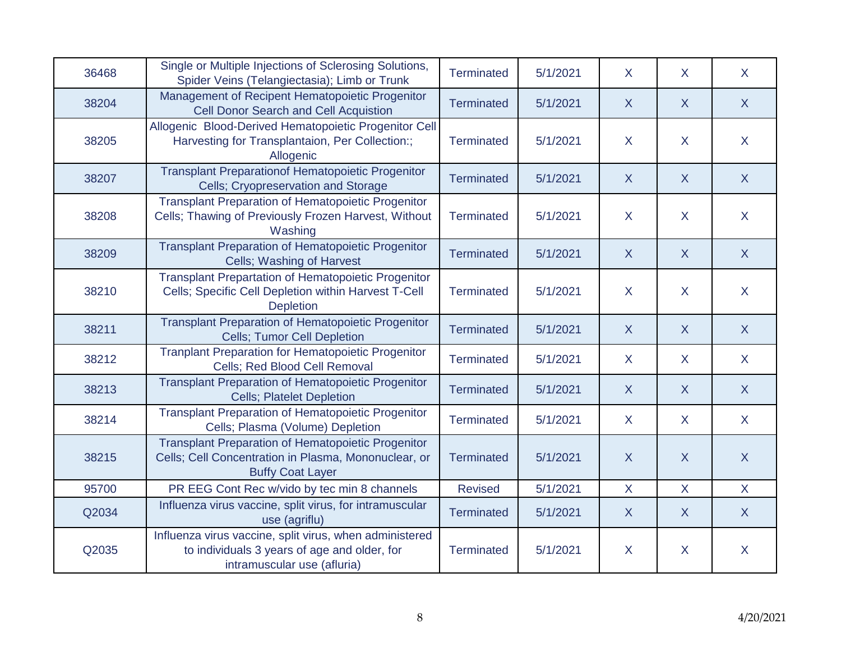| 36468 | Single or Multiple Injections of Sclerosing Solutions,<br>Spider Veins (Telangiectasia); Limb or Trunk                                       | Terminated        | 5/1/2021 | $\sf X$      | X.             | $\sf X$      |
|-------|----------------------------------------------------------------------------------------------------------------------------------------------|-------------------|----------|--------------|----------------|--------------|
| 38204 | Management of Recipent Hematopoietic Progenitor<br><b>Cell Donor Search and Cell Acquistion</b>                                              | <b>Terminated</b> | 5/1/2021 | $\mathsf{X}$ | $\mathsf{X}$   | $\mathsf{X}$ |
| 38205 | Allogenic Blood-Derived Hematopoietic Progenitor Cell<br>Harvesting for Transplantaion, Per Collection:;<br>Allogenic                        | Terminated        | 5/1/2021 | X            | X              | $\mathsf{X}$ |
| 38207 | <b>Transplant Preparationof Hematopoietic Progenitor</b><br>Cells; Cryopreservation and Storage                                              | <b>Terminated</b> | 5/1/2021 | $\sf X$      | $\mathsf{X}$   | X            |
| 38208 | <b>Transplant Preparation of Hematopoietic Progenitor</b><br>Cells; Thawing of Previously Frozen Harvest, Without<br>Washing                 | <b>Terminated</b> | 5/1/2021 | X            | $\mathsf{X}$   | $\mathsf{X}$ |
| 38209 | <b>Transplant Preparation of Hematopoietic Progenitor</b><br>Cells; Washing of Harvest                                                       | <b>Terminated</b> | 5/1/2021 | $\sf X$      | $\mathsf{X}$   | $\mathsf{X}$ |
| 38210 | <b>Transplant Prepartation of Hematopoietic Progenitor</b><br>Cells; Specific Cell Depletion within Harvest T-Cell<br><b>Depletion</b>       | Terminated        | 5/1/2021 | $\sf X$      | X              | $\mathsf{X}$ |
| 38211 | <b>Transplant Preparation of Hematopoietic Progenitor</b><br><b>Cells; Tumor Cell Depletion</b>                                              | <b>Terminated</b> | 5/1/2021 | $\sf X$      | X              | X            |
| 38212 | <b>Tranplant Preparation for Hematopoietic Progenitor</b><br>Cells; Red Blood Cell Removal                                                   | <b>Terminated</b> | 5/1/2021 | $\sf X$      | $\mathsf{X}$   | $\mathsf{X}$ |
| 38213 | <b>Transplant Preparation of Hematopoietic Progenitor</b><br><b>Cells; Platelet Depletion</b>                                                | <b>Terminated</b> | 5/1/2021 | $\mathsf{X}$ | $\mathsf{X}$   | $\mathsf{X}$ |
| 38214 | <b>Transplant Preparation of Hematopoietic Progenitor</b><br>Cells; Plasma (Volume) Depletion                                                | <b>Terminated</b> | 5/1/2021 | $\sf X$      | $\mathsf{X}$   | $\mathsf{X}$ |
| 38215 | <b>Transplant Preparation of Hematopoietic Progenitor</b><br>Cells; Cell Concentration in Plasma, Mononuclear, or<br><b>Buffy Coat Layer</b> | <b>Terminated</b> | 5/1/2021 | $\mathsf{X}$ | $\overline{X}$ | $\mathsf{X}$ |
| 95700 | PR EEG Cont Rec w/vido by tec min 8 channels                                                                                                 | <b>Revised</b>    | 5/1/2021 | $\mathsf{X}$ | X              | $\mathsf{X}$ |
| Q2034 | Influenza virus vaccine, split virus, for intramuscular<br>use (agriflu)                                                                     | <b>Terminated</b> | 5/1/2021 | $\mathsf{X}$ | $\mathsf{X}$   | $\mathsf{X}$ |
| Q2035 | Influenza virus vaccine, split virus, when administered<br>to individuals 3 years of age and older, for<br>intramuscular use (afluria)       | <b>Terminated</b> | 5/1/2021 | $\mathsf{X}$ | $\mathsf{X}$   | $\mathsf{X}$ |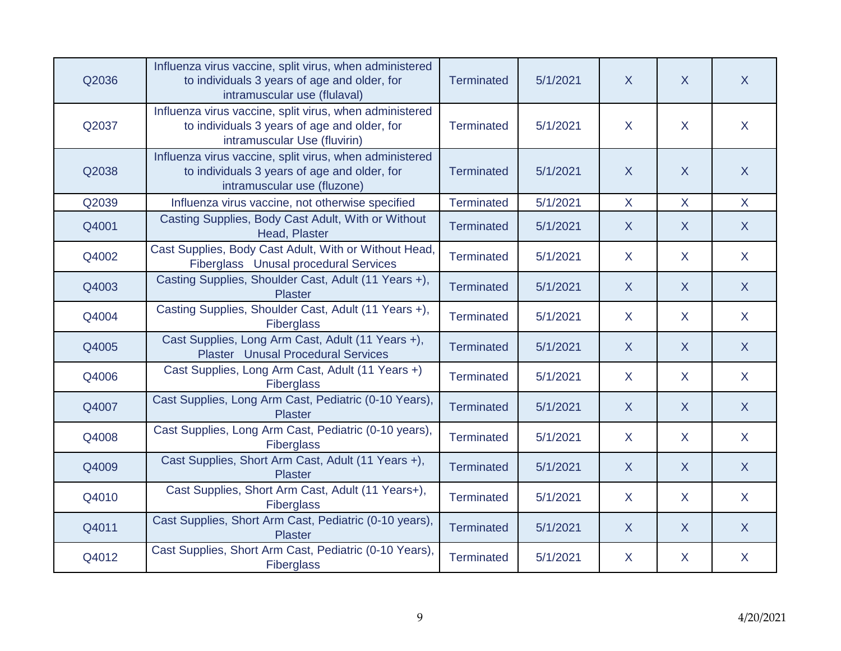| Q2036 | Influenza virus vaccine, split virus, when administered<br>to individuals 3 years of age and older, for<br>intramuscular use (flulaval) | <b>Terminated</b> | 5/1/2021 | $\sf X$      | X            | X              |
|-------|-----------------------------------------------------------------------------------------------------------------------------------------|-------------------|----------|--------------|--------------|----------------|
| Q2037 | Influenza virus vaccine, split virus, when administered<br>to individuals 3 years of age and older, for<br>intramuscular Use (fluvirin) | <b>Terminated</b> | 5/1/2021 | $\sf X$      | $\mathsf{X}$ | $\mathsf{X}$   |
| Q2038 | Influenza virus vaccine, split virus, when administered<br>to individuals 3 years of age and older, for<br>intramuscular use (fluzone)  | <b>Terminated</b> | 5/1/2021 | $\sf X$      | $\sf X$      | $\overline{X}$ |
| Q2039 | Influenza virus vaccine, not otherwise specified                                                                                        | <b>Terminated</b> | 5/1/2021 | $\mathsf{X}$ | $\mathsf{X}$ | $\mathsf{X}$   |
| Q4001 | Casting Supplies, Body Cast Adult, With or Without<br>Head, Plaster                                                                     | <b>Terminated</b> | 5/1/2021 | $\mathsf{X}$ | X            | $\mathsf{X}$   |
| Q4002 | Cast Supplies, Body Cast Adult, With or Without Head,<br>Fiberglass Unusal procedural Services                                          | <b>Terminated</b> | 5/1/2021 | $\mathsf{X}$ | $\mathsf{X}$ | $\mathsf{X}$   |
| Q4003 | Casting Supplies, Shoulder Cast, Adult (11 Years +),<br><b>Plaster</b>                                                                  | <b>Terminated</b> | 5/1/2021 | $\mathsf{X}$ | $\mathsf{X}$ | $\mathsf{X}$   |
| Q4004 | Casting Supplies, Shoulder Cast, Adult (11 Years +),<br><b>Fiberglass</b>                                                               | <b>Terminated</b> | 5/1/2021 | $\mathsf{X}$ | X            | $\mathsf{X}$   |
| Q4005 | Cast Supplies, Long Arm Cast, Adult (11 Years +),<br><b>Plaster</b> Unusal Procedural Services                                          | <b>Terminated</b> | 5/1/2021 | $\mathsf{X}$ | $\mathsf{X}$ | $\mathsf{X}$   |
| Q4006 | Cast Supplies, Long Arm Cast, Adult (11 Years +)<br><b>Fiberglass</b>                                                                   | <b>Terminated</b> | 5/1/2021 | $\mathsf{X}$ | $\mathsf{X}$ | $\mathsf{X}$   |
| Q4007 | Cast Supplies, Long Arm Cast, Pediatric (0-10 Years),<br><b>Plaster</b>                                                                 | <b>Terminated</b> | 5/1/2021 | $\mathsf{X}$ | $\mathsf{X}$ | $\mathsf{X}$   |
| Q4008 | Cast Supplies, Long Arm Cast, Pediatric (0-10 years),<br>Fiberglass                                                                     | <b>Terminated</b> | 5/1/2021 | $\sf X$      | $\mathsf{X}$ | $\mathsf{X}$   |
| Q4009 | Cast Supplies, Short Arm Cast, Adult (11 Years +),<br><b>Plaster</b>                                                                    | <b>Terminated</b> | 5/1/2021 | $\mathsf{X}$ | $\mathsf{X}$ | $\mathsf{X}$   |
| Q4010 | Cast Supplies, Short Arm Cast, Adult (11 Years+),<br><b>Fiberglass</b>                                                                  | <b>Terminated</b> | 5/1/2021 | $\mathsf{X}$ | $\mathsf{X}$ | $\mathsf{X}$   |
| Q4011 | Cast Supplies, Short Arm Cast, Pediatric (0-10 years),<br><b>Plaster</b>                                                                | <b>Terminated</b> | 5/1/2021 | $\mathsf{X}$ | $\mathsf{X}$ | $\mathsf{X}$   |
| Q4012 | Cast Supplies, Short Arm Cast, Pediatric (0-10 Years),<br>Fiberglass                                                                    | <b>Terminated</b> | 5/1/2021 | $\sf X$      | X.           | $\mathsf{X}$   |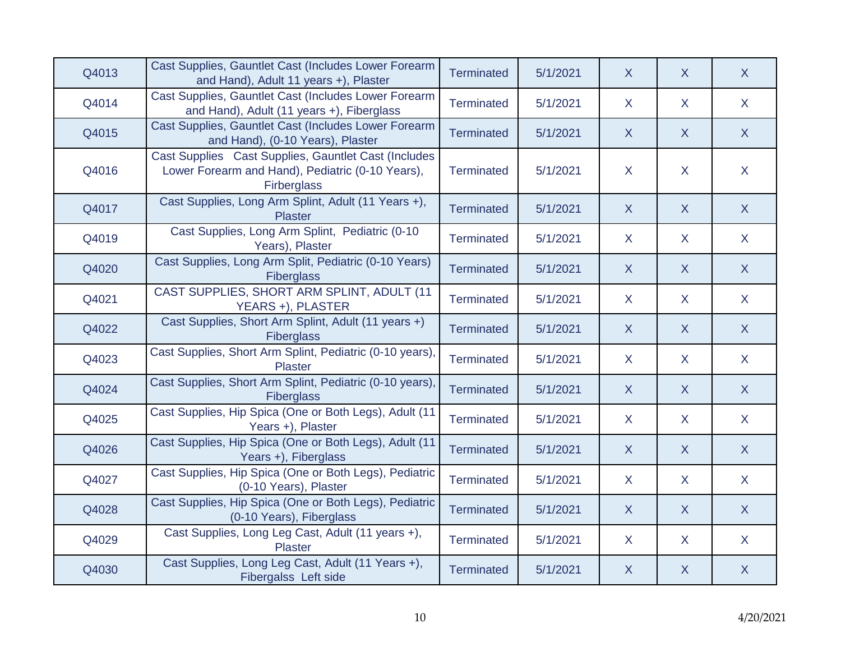| Q4013 | Cast Supplies, Gauntlet Cast (Includes Lower Forearm<br>and Hand), Adult 11 years +), Plaster                           | <b>Terminated</b> | 5/1/2021 | X            | X            | X            |
|-------|-------------------------------------------------------------------------------------------------------------------------|-------------------|----------|--------------|--------------|--------------|
| Q4014 | Cast Supplies, Gauntlet Cast (Includes Lower Forearm<br>and Hand), Adult (11 years +), Fiberglass                       | Terminated        | 5/1/2021 | X            | $\mathsf{X}$ | $\mathsf{X}$ |
| Q4015 | Cast Supplies, Gauntlet Cast (Includes Lower Forearm<br>and Hand), (0-10 Years), Plaster                                | <b>Terminated</b> | 5/1/2021 | $\mathsf{X}$ | $\mathsf{X}$ | $\mathsf{X}$ |
| Q4016 | Cast Supplies Cast Supplies, Gauntlet Cast (Includes<br>Lower Forearm and Hand), Pediatric (0-10 Years),<br>Firberglass | <b>Terminated</b> | 5/1/2021 | $\mathsf{X}$ | X.           | $\mathsf{X}$ |
| Q4017 | Cast Supplies, Long Arm Splint, Adult (11 Years +),<br><b>Plaster</b>                                                   | <b>Terminated</b> | 5/1/2021 | X            | X            | X            |
| Q4019 | Cast Supplies, Long Arm Splint, Pediatric (0-10<br>Years), Plaster                                                      | <b>Terminated</b> | 5/1/2021 | $\mathsf{X}$ | $\mathsf{X}$ | $\mathsf{X}$ |
| Q4020 | Cast Supplies, Long Arm Split, Pediatric (0-10 Years)<br>Fiberglass                                                     | <b>Terminated</b> | 5/1/2021 | $\mathsf{X}$ | $\mathsf{X}$ | $\mathsf{X}$ |
| Q4021 | CAST SUPPLIES, SHORT ARM SPLINT, ADULT (11<br>YEARS +), PLASTER                                                         | <b>Terminated</b> | 5/1/2021 | $\mathsf{X}$ | $\mathsf{X}$ | $\mathsf{X}$ |
| Q4022 | Cast Supplies, Short Arm Splint, Adult (11 years +)<br><b>Fiberglass</b>                                                | <b>Terminated</b> | 5/1/2021 | $\mathsf{X}$ | X            | X            |
| Q4023 | Cast Supplies, Short Arm Splint, Pediatric (0-10 years),<br><b>Plaster</b>                                              | <b>Terminated</b> | 5/1/2021 | $\mathsf{X}$ | $\mathsf{X}$ | $\mathsf{X}$ |
| Q4024 | Cast Supplies, Short Arm Splint, Pediatric (0-10 years),<br>Fiberglass                                                  | <b>Terminated</b> | 5/1/2021 | $\mathsf{X}$ | X            | $\mathsf{X}$ |
| Q4025 | Cast Supplies, Hip Spica (One or Both Legs), Adult (11<br>Years +), Plaster                                             | Terminated        | 5/1/2021 | $\mathsf{X}$ | $\mathsf{X}$ | $\mathsf{X}$ |
| Q4026 | Cast Supplies, Hip Spica (One or Both Legs), Adult (11<br>Years +), Fiberglass                                          | <b>Terminated</b> | 5/1/2021 | X            | X            | $\mathsf{X}$ |
| Q4027 | Cast Supplies, Hip Spica (One or Both Legs), Pediatric<br>(0-10 Years), Plaster                                         | Terminated        | 5/1/2021 | $\mathsf{X}$ | X.           | $\mathsf{X}$ |
| Q4028 | Cast Supplies, Hip Spica (One or Both Legs), Pediatric<br>(0-10 Years), Fiberglass                                      | <b>Terminated</b> | 5/1/2021 | $\sf X$      | $\mathsf{X}$ | X            |
| Q4029 | Cast Supplies, Long Leg Cast, Adult (11 years +),<br>Plaster                                                            | <b>Terminated</b> | 5/1/2021 | $\mathsf{X}$ | X.           | $\mathsf{X}$ |
| Q4030 | Cast Supplies, Long Leg Cast, Adult (11 Years +),<br>Fibergalss Left side                                               | <b>Terminated</b> | 5/1/2021 | $\mathsf{X}$ | X            | X            |